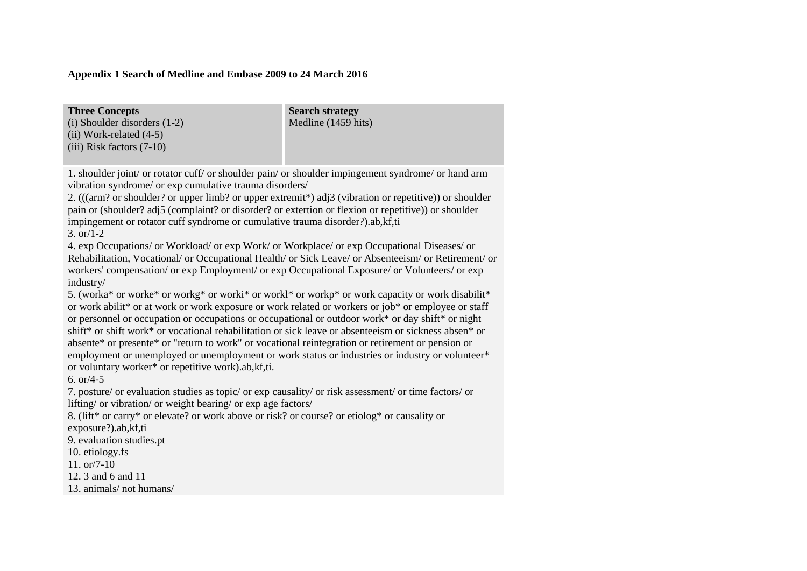## **Appendix 1 Search of Medline and Embase 2009 to 24 March 2016**

| <b>Three Concepts</b>            | <b>Search strategy</b> |
|----------------------------------|------------------------|
| $(i)$ Shoulder disorders $(1-2)$ | Medline (1459 hits)    |
| (ii) Work-related $(4-5)$        |                        |
| $(iii)$ Risk factors $(7-10)$    |                        |
|                                  |                        |

1. shoulder joint/ or rotator cuff/ or shoulder pain/ or shoulder impingement syndrome/ or hand arm vibration syndrome/ or exp cumulative trauma disorders/

2. (((arm? or shoulder? or upper limb? or upper extremit\*) adj3 (vibration or repetitive)) or shoulder pain or (shoulder? adj5 (complaint? or disorder? or extertion or flexion or repetitive)) or shoulder impingement or rotator cuff syndrome or cumulative trauma disorder?).ab,kf,ti 3. or/1-2

4. exp Occupations/ or Workload/ or exp Work/ or Workplace/ or exp Occupational Diseases/ or Rehabilitation, Vocational/ or Occupational Health/ or Sick Leave/ or Absenteeism/ or Retirement/ or workers' compensation/ or exp Employment/ or exp Occupational Exposure/ or Volunteers/ or exp industry/

5. (worka\* or worke\* or workg\* or worki\* or workl\* or workp\* or work capacity or work disabilit\* or work abilit\* or at work or work exposure or work related or workers or job\* or employee or staff or personnel or occupation or occupations or occupational or outdoor work\* or day shift\* or night shift\* or shift work\* or vocational rehabilitation or sick leave or absenteeism or sickness absen\* or absente\* or presente\* or "return to work" or vocational reintegration or retirement or pension or employment or unemployed or unemployment or work status or industries or industry or volunteer\* or voluntary worker\* or repetitive work).ab,kf,ti.

6. or/4-5

7. posture/ or evaluation studies as topic/ or exp causality/ or risk assessment/ or time factors/ or lifting/ or vibration/ or weight bearing/ or exp age factors/

8. (lift\* or carry\* or elevate? or work above or risk? or course? or etiolog\* or causality or exposure?).ab,kf,ti

9. evaluation studies.pt

10. etiology.fs

11. or/7-10

12. 3 and 6 and 11

13. animals/ not humans/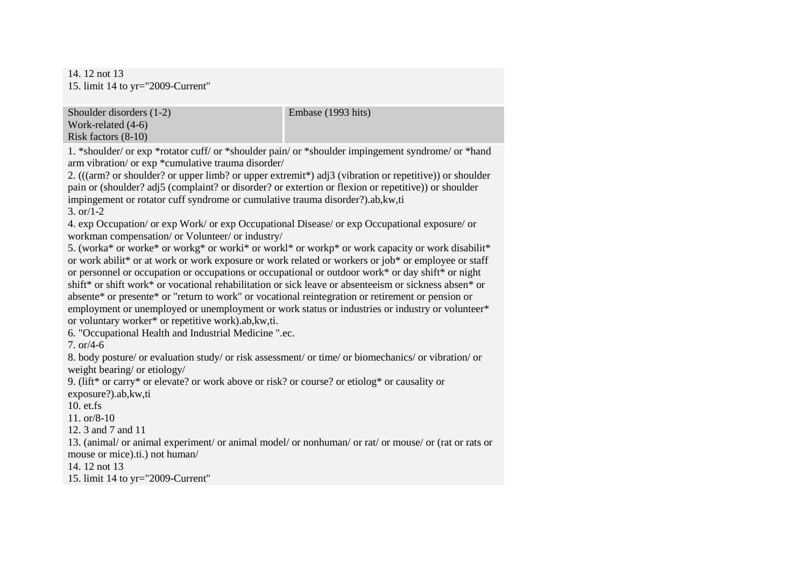14. 12 not 13 15. limit 14 to yr="2009-Current"

Shoulder disorders (1-2) Work-related (4-6) Risk factors (8-10)

1. \*shoulder/ or exp \*rotator cuff/ or \*shoulder pain/ or \*shoulder impingement syndrome/ or \*hand arm vibration/ or exp \*cumulative trauma disorder/

2. (((arm? or shoulder? or upper limb? or upper extremit\*) adj3 (vibration or repetitive)) or shoulder pain or (shoulder? adj5 (complaint? or disorder? or extertion or flexion or repetitive)) or shoulder impingement or rotator cuff syndrome or cumulative trauma disorder?).ab,kw,ti 3. or/1-2

4. exp Occupation/ or exp Work/ or exp Occupational Disease/ or exp Occupational exposure/ or workman compensation/ or Volunteer/ or industry/

5. (worka\* or worke\* or workg\* or worki\* or workl\* or workp\* or work capacity or work disabilit\* or work abilit\* or at work or work exposure or work related or workers or job\* or employee or staff or personnel or occupation or occupations or occupational or outdoor work\* or day shift\* or night shift\* or shift work\* or vocational rehabilitation or sick leave or absenteeism or sickness absen\* or absente\* or presente\* or "return to work" or vocational reintegration or retirement or pension or employment or unemployed or unemployment or work status or industries or industry or volunteer\* or voluntary worker\* or repetitive work).ab,kw,ti.

6. "Occupational Health and Industrial Medicine ".ec.

7. or/4-6

8. body posture/ or evaluation study/ or risk assessment/ or time/ or biomechanics/ or vibration/ or weight bearing/ or etiology/

9. (lift\* or carry\* or elevate? or work above or risk? or course? or etiolog\* or causality or exposure?).ab,kw,ti

10. et.fs

11. or/8-10

12. 3 and 7 and 11

13. (animal/ or animal experiment/ or animal model/ or nonhuman/ or rat/ or mouse/ or (rat or rats or mouse or mice).ti.) not human/

14. 12 not 13

15. limit 14 to yr="2009-Current"

Embase (1993 hits)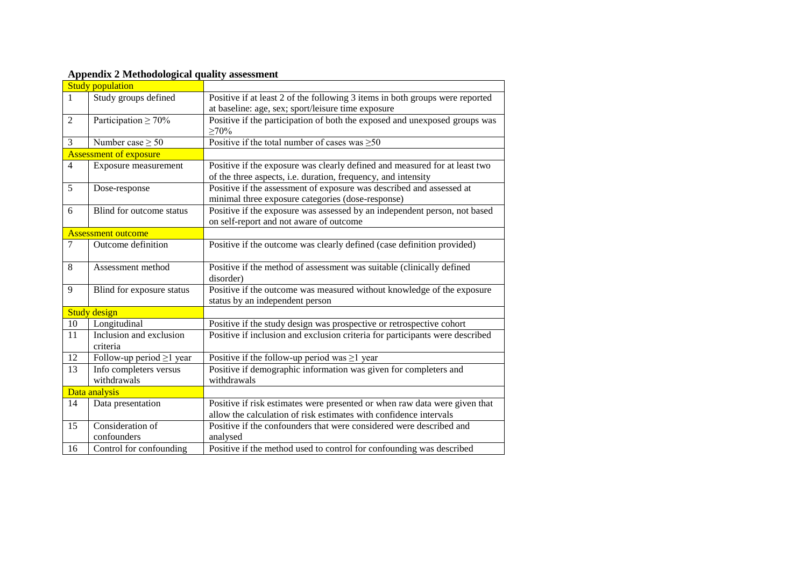|                | дррсния 2 местоиогоднат quanty assessment |                                                                              |
|----------------|-------------------------------------------|------------------------------------------------------------------------------|
|                | <b>Study population</b>                   |                                                                              |
| 1              | Study groups defined                      | Positive if at least 2 of the following 3 items in both groups were reported |
|                |                                           | at baseline: age, sex; sport/leisure time exposure                           |
| $\overline{2}$ | Participation $\geq 70\%$                 | Positive if the participation of both the exposed and unexposed groups was   |
|                |                                           | $\geq 70\%$                                                                  |
| 3              | Number case $\geq 50$                     | Positive if the total number of cases was $\geq 50$                          |
|                | Assessment of exposure                    |                                                                              |
| $\overline{4}$ | Exposure measurement                      | Positive if the exposure was clearly defined and measured for at least two   |
|                |                                           | of the three aspects, i.e. duration, frequency, and intensity                |
| 5              | Dose-response                             | Positive if the assessment of exposure was described and assessed at         |
|                |                                           | minimal three exposure categories (dose-response)                            |
| 6              | Blind for outcome status                  | Positive if the exposure was assessed by an independent person, not based    |
|                |                                           | on self-report and not aware of outcome                                      |
|                | <b>Assessment outcome</b>                 |                                                                              |
| $\tau$         | Outcome definition                        | Positive if the outcome was clearly defined (case definition provided)       |
|                |                                           |                                                                              |
| 8              | Assessment method                         | Positive if the method of assessment was suitable (clinically defined        |
|                |                                           | disorder)                                                                    |
| 9              | Blind for exposure status                 | Positive if the outcome was measured without knowledge of the exposure       |
|                |                                           | status by an independent person                                              |
|                | <b>Study design</b>                       |                                                                              |
| 10             | Longitudinal                              | Positive if the study design was prospective or retrospective cohort         |
| 11             | Inclusion and exclusion                   | Positive if inclusion and exclusion criteria for participants were described |
|                | criteria                                  |                                                                              |
| 12             | Follow-up period $\geq 1$ year            | Positive if the follow-up period was $\geq 1$ year                           |
| 13             | Info completers versus                    | Positive if demographic information was given for completers and             |
|                | withdrawals                               | withdrawals                                                                  |
|                | Data analysis                             |                                                                              |
| 14             | Data presentation                         | Positive if risk estimates were presented or when raw data were given that   |
|                |                                           | allow the calculation of risk estimates with confidence intervals            |
| 15             | Consideration of                          | Positive if the confounders that were considered were described and          |
|                | confounders                               | analysed                                                                     |
| 16             | Control for confounding                   | Positive if the method used to control for confounding was described         |

## **Appendix 2 Methodological quality assessment**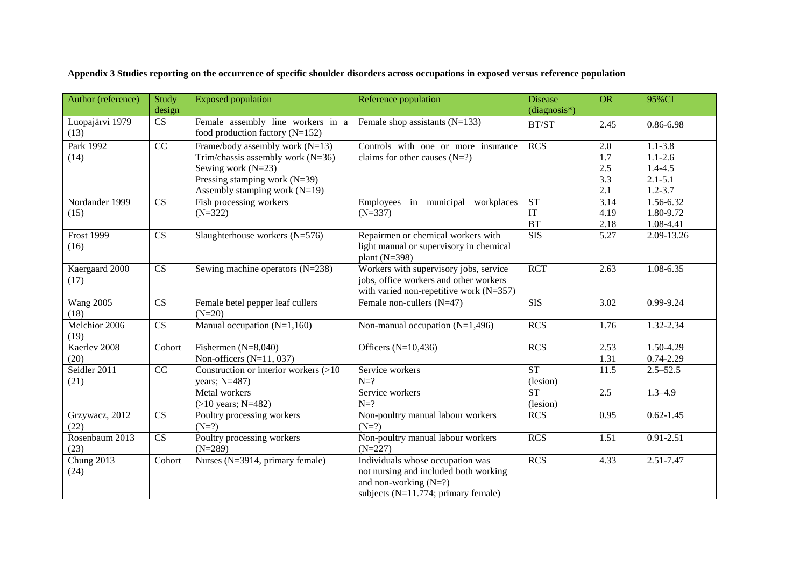|  |  |  |  |  |  | Appendix 3 Studies reporting on the occurrence of specific shoulder disorders across occupations in exposed versus reference population |  |
|--|--|--|--|--|--|-----------------------------------------------------------------------------------------------------------------------------------------|--|
|  |  |  |  |  |  |                                                                                                                                         |  |
|  |  |  |  |  |  |                                                                                                                                         |  |
|  |  |  |  |  |  |                                                                                                                                         |  |

| Author (reference)        | Study                  | <b>Exposed population</b>                                              | Reference population                                                                             | <b>Disease</b> | <b>OR</b> | 95%CI         |  |
|---------------------------|------------------------|------------------------------------------------------------------------|--------------------------------------------------------------------------------------------------|----------------|-----------|---------------|--|
|                           | design                 |                                                                        |                                                                                                  | $(diagnosis*)$ |           |               |  |
| Luopajärvi 1979<br>(13)   | $\overline{\text{CS}}$ | Female assembly line workers in a<br>food production factory $(N=152)$ | Female shop assistants $(N=133)$                                                                 | BT/ST          | 2.45      | 0.86-6.98     |  |
| Park 1992                 | $\overline{CC}$        | Frame/body assembly work $(N=13)$                                      | Controls with one or more insurance                                                              | <b>RCS</b>     | 2.0       | $1.1 - 3.8$   |  |
| (14)                      |                        | Trim/chassis assembly work $(N=36)$                                    | claims for other causes $(N=?)$                                                                  |                | 1.7       | $1.1 - 2.6$   |  |
|                           |                        | Sewing work $(N=23)$                                                   |                                                                                                  |                | 2.5       | $1.4 - 4.5$   |  |
|                           |                        | Pressing stamping work $(N=39)$                                        |                                                                                                  |                | 3.3       | $2.1 - 5.1$   |  |
|                           |                        | Assembly stamping work $(N=19)$                                        |                                                                                                  |                | 2.1       | $1.2 - 3.7$   |  |
| Nordander 1999            | CS                     | Fish processing workers                                                | Employees in municipal workplaces                                                                | <b>ST</b>      | 3.14      | 1.56-6.32     |  |
| (15)                      |                        | $(N=322)$                                                              | $(N=337)$                                                                                        | IT             | 4.19      | 1.80-9.72     |  |
|                           |                        |                                                                        |                                                                                                  | <b>BT</b>      | 2.18      | 1.08-4.41     |  |
| <b>Frost 1999</b><br>(16) | CS                     | Slaughterhouse workers (N=576)                                         | Repairmen or chemical workers with<br>light manual or supervisory in chemical<br>plant $(N=398)$ | <b>SIS</b>     | 5.27      | 2.09-13.26    |  |
| Kaergaard 2000            | $\overline{\text{CS}}$ | Sewing machine operators $(N=238)$                                     | Workers with supervisory jobs, service                                                           | <b>RCT</b>     | 2.63      | $1.08 - 6.35$ |  |
| (17)                      |                        |                                                                        | jobs, office workers and other workers                                                           |                |           |               |  |
|                           |                        |                                                                        | with varied non-repetitive work $(N=357)$                                                        |                |           |               |  |
| <b>Wang 2005</b><br>(18)  | CS                     | Female betel pepper leaf cullers<br>$(N=20)$                           | Female non-cullers $(N=47)$                                                                      | <b>SIS</b>     | 3.02      | 0.99-9.24     |  |
| Melchior 2006<br>(19)     | $\overline{\text{CS}}$ | Manual occupation $(N=1,160)$                                          | Non-manual occupation $(N=1,496)$                                                                | RCS            | 1.76      | $1.32 - 2.34$ |  |
| Kaerlev <sub>2008</sub>   | Cohort                 | Fishermen $(N=8,040)$                                                  | Officers $(N=10, 436)$                                                                           | <b>RCS</b>     | 2.53      | 1.50-4.29     |  |
| (20)                      |                        | Non-officers $(N=11, 037)$                                             |                                                                                                  |                | 1.31      | $0.74 - 2.29$ |  |
| Seidler 2011              | $\overline{CC}$        | Construction or interior workers (>10                                  | Service workers                                                                                  | ST             | 11.5      | $2.5 - 52.5$  |  |
| (21)                      |                        | years; N=487)                                                          | $N=?$                                                                                            | (lesion)       |           |               |  |
|                           |                        | Metal workers                                                          | Service workers                                                                                  | <b>ST</b>      | 2.5       | $1.3 - 4.9$   |  |
|                           |                        | $(>10 \text{ years}; N=482)$                                           | $N=?$                                                                                            | (lesion)       |           |               |  |
| Grzywacz, 2012            | CS                     | Poultry processing workers                                             | Non-poultry manual labour workers                                                                | <b>RCS</b>     | 0.95      | $0.62 - 1.45$ |  |
| (22)                      |                        | $(N=?)$                                                                | $(N=?)$                                                                                          |                |           |               |  |
| Rosenbaum 2013            | CS                     | Poultry processing workers                                             | Non-poultry manual labour workers                                                                | <b>RCS</b>     | 1.51      | $0.91 - 2.51$ |  |
| (23)                      |                        | $(N=289)$                                                              | $(N=227)$                                                                                        |                |           |               |  |
| Chung 2013                | Cohort                 | Nurses (N=3914, primary female)                                        | Individuals whose occupation was                                                                 | RCS            | 4.33      | 2.51-7.47     |  |
| (24)                      |                        |                                                                        | not nursing and included both working                                                            |                |           |               |  |
|                           |                        |                                                                        | and non-working $(N=?)$                                                                          |                |           |               |  |
|                           |                        |                                                                        | subjects $(N=11.774;$ primary female)                                                            |                |           |               |  |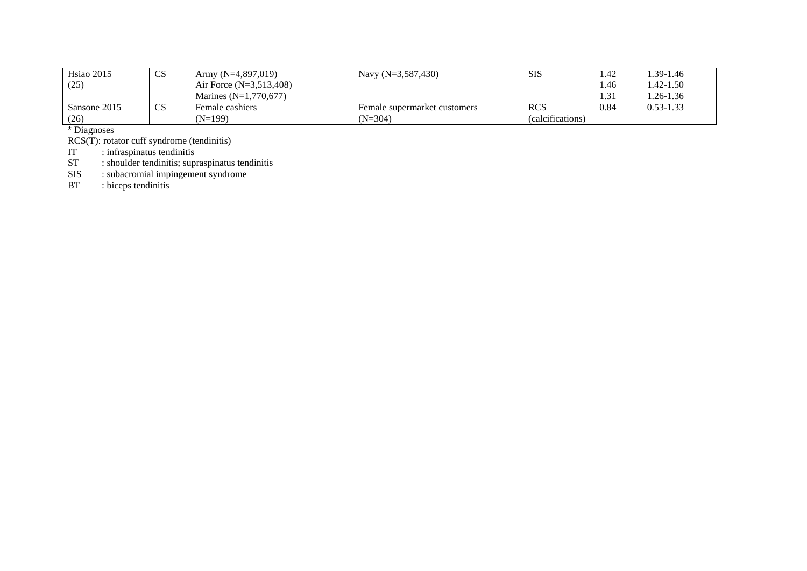| Hsiao 2015   | $\cap$<br>ഄഄ  | Army $(N=4,897,019)$      | Navy $(N=3,587,430)$         | <b>SIS</b>       | 1.42 | 1.39-1.46     |
|--------------|---------------|---------------------------|------------------------------|------------------|------|---------------|
| (25)         |               | Air Force $(N=3,513,408)$ |                              |                  | 1.46 | . .42-1.50    |
|              |               | Marines $(N=1.770.677)$   |                              |                  | 1.31 | . 26-1.36     |
| Sansone 2015 | $\cap$<br>CS. | Female cashiers           | Female supermarket customers | <b>RCS</b>       | 0.84 | $0.53 - 1.33$ |
| (26)         |               | $(N=199)$                 | $(N=304)$                    | (calcifications) |      |               |

\* Diagnoses

RCS(T): rotator cuff syndrome (tendinitis)

IT : infraspinatus tendinitis

ST : shoulder tendinitis; supraspinatus tendinitis

SIS : subacromial impingement syndrome

BT : biceps tendinitis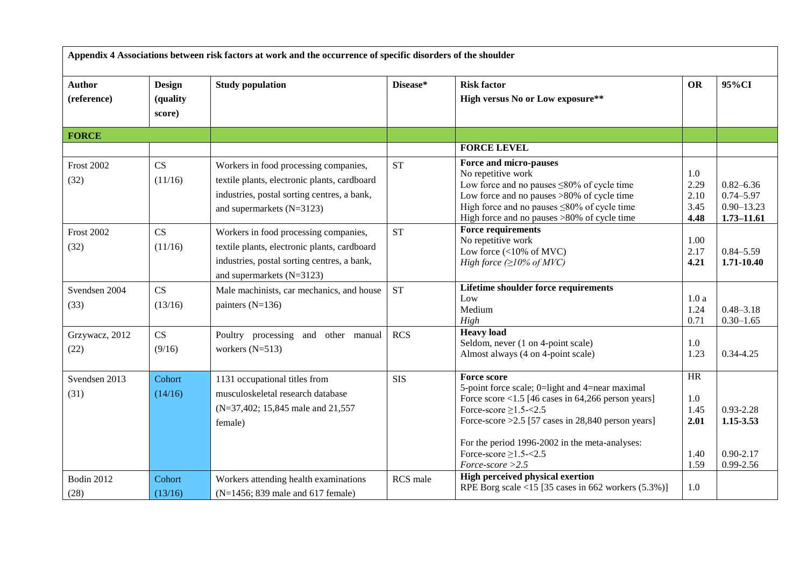| Appendix 4 Associations between risk factors at work and the occurrence of specific disorders of the shoulder |                                     |                                                                                                                                                                   |            |                                                                                                                                                                                                                                                                                                                               |                                                  |                                                                    |  |  |  |
|---------------------------------------------------------------------------------------------------------------|-------------------------------------|-------------------------------------------------------------------------------------------------------------------------------------------------------------------|------------|-------------------------------------------------------------------------------------------------------------------------------------------------------------------------------------------------------------------------------------------------------------------------------------------------------------------------------|--------------------------------------------------|--------------------------------------------------------------------|--|--|--|
| <b>Author</b><br>(reference)                                                                                  | <b>Design</b><br>(quality<br>score) | <b>Study population</b>                                                                                                                                           | Disease*   | <b>Risk factor</b><br>High versus No or Low exposure**                                                                                                                                                                                                                                                                        | <b>OR</b>                                        | 95%CI                                                              |  |  |  |
| <b>FORCE</b>                                                                                                  |                                     |                                                                                                                                                                   |            |                                                                                                                                                                                                                                                                                                                               |                                                  |                                                                    |  |  |  |
|                                                                                                               |                                     |                                                                                                                                                                   |            | <b>FORCE LEVEL</b>                                                                                                                                                                                                                                                                                                            |                                                  |                                                                    |  |  |  |
| <b>Frost 2002</b><br>(32)                                                                                     | CS<br>(11/16)                       | Workers in food processing companies,<br>textile plants, electronic plants, cardboard<br>industries, postal sorting centres, a bank,<br>and supermarkets (N=3123) | <b>ST</b>  | Force and micro-pauses<br>No repetitive work<br>Low force and no pauses $\leq 80\%$ of cycle time<br>Low force and no pauses >80% of cycle time<br>High force and no pauses $\leq 80\%$ of cycle time<br>High force and no pauses >80% of cycle time                                                                          | 1.0<br>2.29<br>2.10<br>3.45<br>4.48              | $0.82 - 6.36$<br>$0.74 - 5.97$<br>$0.90 - 13.23$<br>$1.73 - 11.61$ |  |  |  |
| <b>Frost 2002</b><br>(32)                                                                                     | CS<br>(11/16)                       | Workers in food processing companies,<br>textile plants, electronic plants, cardboard<br>industries, postal sorting centres, a bank,<br>and supermarkets (N=3123) | <b>ST</b>  | <b>Force requirements</b><br>No repetitive work<br>Low force $(<10\% \text{ of MVC})$<br>High force $(\geq 10\% \text{ of} MVC)$                                                                                                                                                                                              | 1.00<br>2.17<br>4.21                             | $0.84 - 5.59$<br>1.71-10.40                                        |  |  |  |
| Svendsen 2004<br>(33)                                                                                         | CS<br>(13/16)                       | Male machinists, car mechanics, and house<br>painters $(N=136)$                                                                                                   | <b>ST</b>  | Lifetime shoulder force requirements<br>Low<br>Medium<br>High                                                                                                                                                                                                                                                                 | 1.0a<br>1.24<br>0.71                             | $0.48 - 3.18$<br>$0.30 - 1.65$                                     |  |  |  |
| Grzywacz, 2012<br>(22)                                                                                        | CS<br>(9/16)                        | Poultry processing and other manual<br>workers $(N=513)$                                                                                                          | <b>RCS</b> | <b>Heavy</b> load<br>Seldom, never (1 on 4-point scale)<br>Almost always (4 on 4-point scale)                                                                                                                                                                                                                                 | 1.0<br>1.23                                      | $0.34 - 4.25$                                                      |  |  |  |
| Svendsen 2013<br>(31)                                                                                         | Cohort<br>(14/16)                   | 1131 occupational titles from<br>musculoskeletal research database<br>(N=37,402; 15,845 male and 21,557)<br>female)                                               | <b>SIS</b> | <b>Force score</b><br>5-point force scale; 0=light and 4=near maximal<br>Force score $<$ 1.5 [46 cases in 64,266 person years]<br>Force-score $\geq$ 1.5-<2.5<br>Force-score $>2.5$ [57 cases in 28,840 person years]<br>For the period 1996-2002 in the meta-analyses:<br>Force-score $\geq$ 1.5-<2.5<br>$Force-score > 2.5$ | <b>HR</b><br>1.0<br>1.45<br>2.01<br>1.40<br>1.59 | $0.93 - 2.28$<br>1.15-3.53<br>$0.90 - 2.17$<br>0.99-2.56           |  |  |  |
| Bodin 2012<br>(28)                                                                                            | Cohort<br>(13/16)                   | Workers attending health examinations<br>(N=1456; 839 male and 617 female)                                                                                        | RCS male   | <b>High perceived physical exertion</b><br>RPE Borg scale <15 [35 cases in 662 workers $(5.3\%)$ ]                                                                                                                                                                                                                            | 1.0                                              |                                                                    |  |  |  |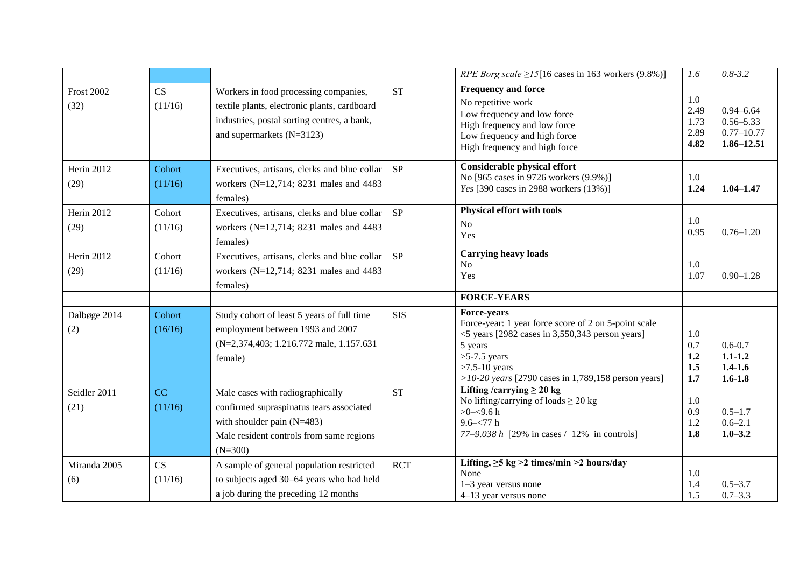|                           |                   |                                                                                                                                                                       |            | <i>RPE Borg scale</i> $\geq$ 15[16 cases in 163 workers (9.8%)]                                                                                                                                                                    | 1.6                                 | $0.8 - 3.2$                                                        |
|---------------------------|-------------------|-----------------------------------------------------------------------------------------------------------------------------------------------------------------------|------------|------------------------------------------------------------------------------------------------------------------------------------------------------------------------------------------------------------------------------------|-------------------------------------|--------------------------------------------------------------------|
| <b>Frost 2002</b><br>(32) | CS<br>(11/16)     | Workers in food processing companies,<br>textile plants, electronic plants, cardboard<br>industries, postal sorting centres, a bank,<br>and supermarkets $(N=3123)$   | <b>ST</b>  | <b>Frequency and force</b><br>No repetitive work<br>Low frequency and low force<br>High frequency and low force<br>Low frequency and high force<br>High frequency and high force                                                   | 1.0<br>2.49<br>1.73<br>2.89<br>4.82 | $0.94 - 6.64$<br>$0.56 - 5.33$<br>$0.77 - 10.77$<br>$1.86 - 12.51$ |
| Herin 2012<br>(29)        | Cohort<br>(11/16) | Executives, artisans, clerks and blue collar<br>workers (N=12,714; 8231 males and 4483<br>females)                                                                    | <b>SP</b>  | <b>Considerable physical effort</b><br>No [965 cases in 9726 workers (9.9%)]<br>Yes [390 cases in 2988 workers (13%)]                                                                                                              | 1.0<br>1.24                         | $1.04 - 1.47$                                                      |
| Herin 2012<br>(29)        | Cohort<br>(11/16) | Executives, artisans, clerks and blue collar<br>workers (N=12,714; 8231 males and 4483<br>females)                                                                    | SP         | Physical effort with tools<br>No<br>Yes                                                                                                                                                                                            | 1.0<br>0.95                         | $0.76 - 1.20$                                                      |
| Herin 2012<br>(29)        | Cohort<br>(11/16) | Executives, artisans, clerks and blue collar<br>workers (N=12,714; 8231 males and 4483<br>females)                                                                    | <b>SP</b>  | <b>Carrying heavy loads</b><br>N <sub>o</sub><br>Yes                                                                                                                                                                               | 1.0<br>1.07                         | $0.90 - 1.28$                                                      |
|                           |                   |                                                                                                                                                                       |            | <b>FORCE-YEARS</b>                                                                                                                                                                                                                 |                                     |                                                                    |
| Dalbøge 2014<br>(2)       | Cohort<br>(16/16) | Study cohort of least 5 years of full time<br>employment between 1993 and 2007<br>(N=2,374,403; 1.216.772 male, 1.157.631)<br>female)                                 | <b>SIS</b> | Force-years<br>Force-year: 1 year force score of 2 on 5-point scale<br>$<$ 5 years [2982 cases in 3,550,343 person years]<br>5 years<br>$>5-7.5$ years<br>$>7.5-10$ years<br>$>10-20$ years [2790 cases in 1,789,158 person years] | 1.0<br>0.7<br>1.2<br>1.5<br>1.7     | $0.6 - 0.7$<br>$1.1 - 1.2$<br>$1.4 - 1.6$<br>$1.6 - 1.8$           |
| Seidler 2011<br>(21)      | CC<br>(11/16)     | Male cases with radiographically<br>confirmed supraspinatus tears associated<br>with shoulder pain $(N=483)$<br>Male resident controls from same regions<br>$(N=300)$ | <b>ST</b>  | Lifting /carrying $\geq 20$ kg<br>No lifting/carrying of loads $\geq 20$ kg<br>$>0 - 9.6 h$<br>$9.6 - 77h$<br>77–9.038 $h$ [29% in cases / 12% in controls]                                                                        | 1.0<br>0.9<br>1.2<br>1.8            | $0.5 - 1.7$<br>$0.6 - 2.1$<br>$1.0 - 3.2$                          |
| Miranda 2005<br>(6)       | CS<br>(11/16)     | A sample of general population restricted<br>to subjects aged 30-64 years who had held<br>a job during the preceding 12 months                                        | <b>RCT</b> | Lifting, $\geq$ 5 kg >2 times/min >2 hours/day<br>None<br>$1-3$ year versus none<br>4-13 year versus none                                                                                                                          | 1.0<br>1.4<br>1.5                   | $0.5 - 3.7$<br>$0.7 - 3.3$                                         |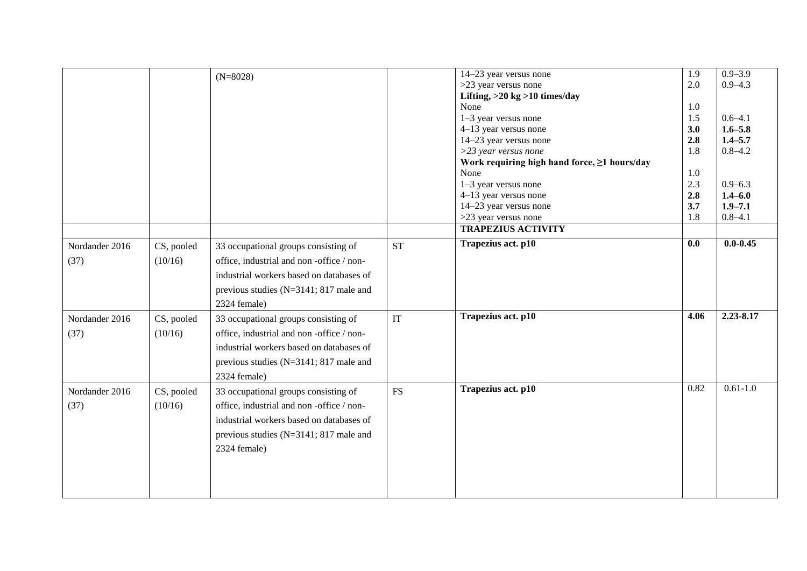|                |            |                                          |           | 14-23 year versus none                       | 1.9  | $0.9 - 3.9$  |
|----------------|------------|------------------------------------------|-----------|----------------------------------------------|------|--------------|
|                |            | $(N=8028)$                               |           | $>23$ year versus none                       | 2.0  | $0.9 - 4.3$  |
|                |            |                                          |           | Lifting, $>20$ kg $>10$ times/day            |      |              |
|                |            |                                          |           | None                                         | 1.0  |              |
|                |            |                                          |           | 1-3 year versus none                         | 1.5  | $0.6 - 4.1$  |
|                |            |                                          |           | 4-13 year versus none                        | 3.0  | $1.6 - 5.8$  |
|                |            |                                          |           | 14-23 year versus none                       | 2.8  | $1.4 - 5.7$  |
|                |            |                                          |           | $>$ 23 year versus none                      | 1.8  | $0.8 - 4.2$  |
|                |            |                                          |           | Work requiring high hand force, ≥1 hours/day |      |              |
|                |            |                                          |           | None                                         | 1.0  |              |
|                |            |                                          |           | 1-3 year versus none                         | 2.3  | $0.9 - 6.3$  |
|                |            |                                          |           | 4-13 year versus none                        | 2.8  | $1.4 - 6.0$  |
|                |            |                                          |           | 14-23 year versus none                       | 3.7  | $1.9 - 7.1$  |
|                |            |                                          |           | >23 year versus none                         | 1.8  | $0.8 - 4.1$  |
|                |            |                                          |           | <b>TRAPEZIUS ACTIVITY</b>                    |      |              |
| Nordander 2016 | CS, pooled | 33 occupational groups consisting of     | <b>ST</b> | Trapezius act. p10                           | 0.0  | $0.0 - 0.45$ |
| (37)           | (10/16)    | office, industrial and non-office / non- |           |                                              |      |              |
|                |            | industrial workers based on databases of |           |                                              |      |              |
|                |            |                                          |           |                                              |      |              |
|                |            | previous studies (N=3141; 817 male and   |           |                                              |      |              |
|                |            | 2324 female)                             |           |                                              |      |              |
| Nordander 2016 | CS, pooled | 33 occupational groups consisting of     | IT        | Trapezius act. p10                           | 4.06 | 2.23-8.17    |
| (37)           | (10/16)    | office, industrial and non-office / non- |           |                                              |      |              |
|                |            | industrial workers based on databases of |           |                                              |      |              |
|                |            |                                          |           |                                              |      |              |
|                |            | previous studies (N=3141; 817 male and   |           |                                              |      |              |
|                |            | 2324 female)                             |           |                                              |      |              |
| Nordander 2016 | CS, pooled | 33 occupational groups consisting of     | <b>FS</b> | Trapezius act. p10                           | 0.82 | $0.61 - 1.0$ |
| (37)           | (10/16)    | office, industrial and non-office / non- |           |                                              |      |              |
|                |            |                                          |           |                                              |      |              |
|                |            | industrial workers based on databases of |           |                                              |      |              |
|                |            | previous studies (N=3141; 817 male and   |           |                                              |      |              |
|                |            | 2324 female)                             |           |                                              |      |              |
|                |            |                                          |           |                                              |      |              |
|                |            |                                          |           |                                              |      |              |
|                |            |                                          |           |                                              |      |              |
|                |            |                                          |           |                                              |      |              |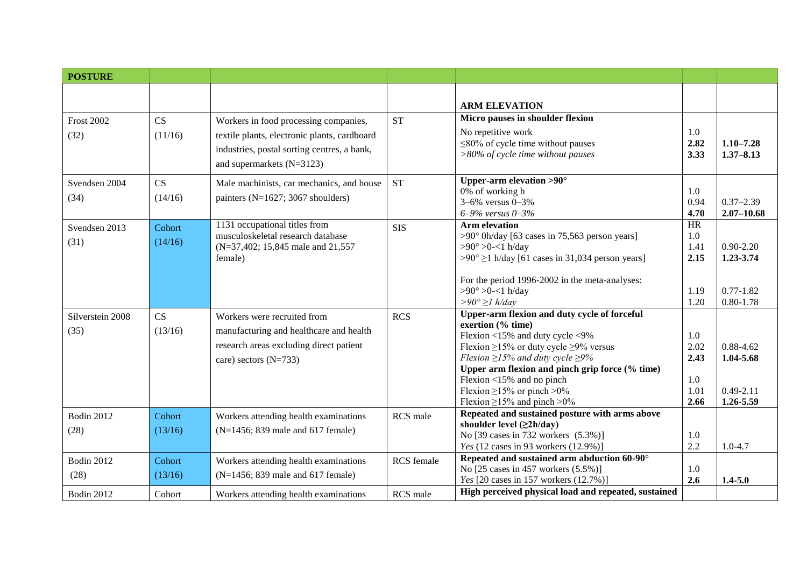| <b>POSTURE</b>    |         |                                                                    |            |                                                                                                |             |                |
|-------------------|---------|--------------------------------------------------------------------|------------|------------------------------------------------------------------------------------------------|-------------|----------------|
|                   |         |                                                                    |            |                                                                                                |             |                |
|                   |         |                                                                    |            | <b>ARM ELEVATION</b>                                                                           |             |                |
| <b>Frost 2002</b> | CS      | Workers in food processing companies,                              | <b>ST</b>  | Micro pauses in shoulder flexion                                                               |             |                |
| (32)              | (11/16) | textile plants, electronic plants, cardboard                       |            | No repetitive work                                                                             | 1.0         |                |
|                   |         |                                                                    |            | $\leq$ 80% of cycle time without pauses                                                        | 2.82        | $1.10 - 7.28$  |
|                   |         | industries, postal sorting centres, a bank,                        |            | $>80\%$ of cycle time without pauses                                                           | 3.33        | $1.37 - 8.13$  |
|                   |         | and supermarkets (N=3123)                                          |            |                                                                                                |             |                |
| Svendsen 2004     | CS      | Male machinists, car mechanics, and house                          | <b>ST</b>  | Upper-arm elevation $>90^\circ$                                                                |             |                |
| (34)              | (14/16) | painters (N=1627; 3067 shoulders)                                  |            | 0% of working h                                                                                | 1.0         |                |
|                   |         |                                                                    |            | $3 - 6\%$ versus $0 - 3\%$                                                                     | 0.94        | $0.37 - 2.39$  |
|                   |         |                                                                    |            | 6-9% versus 0-3%                                                                               | 4.70        | $2.07 - 10.68$ |
| Svendsen 2013     | Cohort  | 1131 occupational titles from<br>musculoskeletal research database | <b>SIS</b> | <b>Arm elevation</b>                                                                           | HR          |                |
| (31)              | (14/16) | (N=37,402; 15,845 male and 21,557)                                 |            | $>90^{\circ}$ 0h/day [63 cases in 75,563 person years]<br>$>90^{\circ} > 0 < 1$ h/day          | 1.0<br>1.41 | $0.90 - 2.20$  |
|                   |         | female)                                                            |            | $>90^{\circ} \ge 1$ h/day [61 cases in 31,034 person years]                                    | 2.15        | 1.23-3.74      |
|                   |         |                                                                    |            |                                                                                                |             |                |
|                   |         |                                                                    |            | For the period 1996-2002 in the meta-analyses:                                                 |             |                |
|                   |         |                                                                    |            | $>90^{\circ} > 0 < 1$ h/day                                                                    | 1.19        | $0.77 - 1.82$  |
|                   |         |                                                                    |            | $>90^{\circ} \geq l$ h/day                                                                     | 1.20        | $0.80 - 1.78$  |
| Silverstein 2008  | CS      | Workers were recruited from                                        | <b>RCS</b> | <b>Upper-arm flexion and duty cycle of forceful</b>                                            |             |                |
| (35)              | (13/16) | manufacturing and healthcare and health                            |            | exertion (% time)                                                                              |             |                |
|                   |         |                                                                    |            | Flexion <15% and duty cycle <9%                                                                | 1.0         |                |
|                   |         | research areas excluding direct patient                            |            | Flexion $\geq$ 15% or duty cycle $\geq$ 9% versus                                              | 2.02        | $0.88 - 4.62$  |
|                   |         | care) sectors $(N=733)$                                            |            | Flexion $\geq$ 15% and duty cycle $\geq$ 9%<br>Upper arm flexion and pinch grip force (% time) | 2.43        | 1.04-5.68      |
|                   |         |                                                                    |            | Flexion <15% and no pinch                                                                      | 1.0         |                |
|                   |         |                                                                    |            | Flexion $\geq$ 15% or pinch >0%                                                                | 1.01        | $0.49 - 2.11$  |
|                   |         |                                                                    |            | Flexion $\geq$ 15% and pinch $>0\%$                                                            | 2.66        | 1.26-5.59      |
| <b>Bodin 2012</b> | Cohort  | Workers attending health examinations                              | RCS male   | Repeated and sustained posture with arms above                                                 |             |                |
| (28)              | (13/16) | (N=1456; 839 male and 617 female)                                  |            | shoulder level $(\geq 2h/day)$                                                                 |             |                |
|                   |         |                                                                    |            | No [39 cases in 732 workers (5.3%)]                                                            | 1.0         |                |
|                   |         |                                                                    |            | Yes (12 cases in 93 workers (12.9%)]                                                           | 2.2         | $1.0 - 4.7$    |
| <b>Bodin 2012</b> | Cohort  | Workers attending health examinations                              | RCS female | Repeated and sustained arm abduction 60-90°                                                    |             |                |
| (28)              | (13/16) | (N=1456; 839 male and 617 female)                                  |            | No [25 cases in 457 workers (5.5%)]                                                            | 1.0         |                |
|                   |         |                                                                    |            | Yes [20 cases in 157 workers (12.7%)]<br>High perceived physical load and repeated, sustained  | 2.6         | $1.4 - 5.0$    |
| <b>Bodin 2012</b> | Cohort  | Workers attending health examinations                              | RCS male   |                                                                                                |             |                |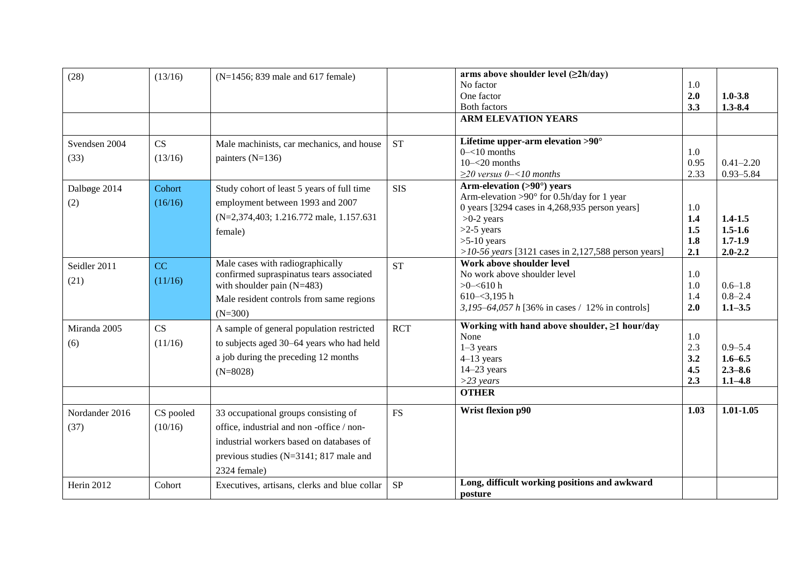| (28)           | (13/16)   | (N=1456; 839 male and 617 female)            |                        | arms above shoulder level $(\geq 2h/day)$                                          |      |               |
|----------------|-----------|----------------------------------------------|------------------------|------------------------------------------------------------------------------------|------|---------------|
|                |           |                                              |                        | No factor                                                                          | 1.0  |               |
|                |           |                                              |                        | One factor                                                                         | 2.0  | $1.0 - 3.8$   |
|                |           |                                              |                        | <b>Both factors</b>                                                                | 3.3  | $1.3 - 8.4$   |
|                |           |                                              |                        | <b>ARM ELEVATION YEARS</b>                                                         |      |               |
|                |           |                                              |                        |                                                                                    |      |               |
| Svendsen 2004  | CS        | Male machinists, car mechanics, and house    | <b>ST</b>              | Lifetime upper-arm elevation $>90^\circ$                                           |      |               |
| (33)           | (13/16)   | painters $(N=136)$                           |                        | $0 - 10$ months                                                                    | 1.0  |               |
|                |           |                                              |                        | $10 - 20$ months                                                                   | 0.95 | $0.41 - 2.20$ |
|                |           |                                              |                        | $\geq$ 20 versus 0-<10 months                                                      | 2.33 | $0.93 - 5.84$ |
| Dalbøge 2014   | Cohort    | Study cohort of least 5 years of full time   | <b>SIS</b>             | Arm-elevation (>90°) years<br>Arm-elevation >90 $^{\circ}$ for 0.5h/day for 1 year |      |               |
| (2)            | (16/16)   | employment between 1993 and 2007             |                        | 0 years [3294 cases in $4,268,935$ person years]                                   | 1.0  |               |
|                |           | (N=2,374,403; 1.216.772 male, 1.157.631)     |                        | $>0-2$ years                                                                       | 1.4  | $1.4 - 1.5$   |
|                |           |                                              |                        | $>2-5$ years                                                                       | 1.5  | $1.5 - 1.6$   |
|                |           | female)                                      |                        | $>5-10$ years                                                                      | 1.8  | $1.7 - 1.9$   |
|                |           |                                              |                        | >10-56 years [3121 cases in 2,127,588 person years]                                | 2.1  | $2.0 - 2.2$   |
| Seidler 2011   | CC        | Male cases with radiographically             | <b>ST</b>              | Work above shoulder level                                                          |      |               |
|                |           | confirmed supraspinatus tears associated     |                        | No work above shoulder level                                                       | 1.0  |               |
| (21)           | (11/16)   | with shoulder pain $(N=483)$                 |                        | $>0 - 610 h$                                                                       | 1.0  | $0.6 - 1.8$   |
|                |           | Male resident controls from same regions     |                        | $610 - 3,195$ h                                                                    | 1.4  | $0.8 - 2.4$   |
|                |           | $(N=300)$                                    |                        | 3,195–64,057 h [36% in cases / 12% in controls]                                    | 2.0  | $1.1 - 3.5$   |
| Miranda 2005   | CS        | A sample of general population restricted    | <b>RCT</b>             | Working with hand above shoulder, ≥1 hour/day                                      |      |               |
|                |           |                                              |                        | None                                                                               | 1.0  |               |
| (6)            | (11/16)   | to subjects aged 30-64 years who had held    |                        | $1-3$ years                                                                        | 2.3  | $0.9 - 5.4$   |
|                |           | a job during the preceding 12 months         |                        | $4-13$ years                                                                       | 3.2  | $1.6 - 6.5$   |
|                |           | $(N=8028)$                                   |                        | $14-23$ years                                                                      | 4.5  | $2.3 - 8.6$   |
|                |           |                                              |                        | $>$ 23 years                                                                       | 2.3  | $1.1 - 4.8$   |
|                |           |                                              |                        | <b>OTHER</b>                                                                       |      |               |
| Nordander 2016 | CS pooled | 33 occupational groups consisting of         | $\mathop{\mathrm{FS}}$ | Wrist flexion p90                                                                  | 1.03 | $1.01 - 1.05$ |
| (37)           | (10/16)   | office, industrial and non-office / non-     |                        |                                                                                    |      |               |
|                |           | industrial workers based on databases of     |                        |                                                                                    |      |               |
|                |           | previous studies (N=3141; 817 male and       |                        |                                                                                    |      |               |
|                |           | 2324 female)                                 |                        |                                                                                    |      |               |
| Herin 2012     | Cohort    | Executives, artisans, clerks and blue collar | SP                     | Long, difficult working positions and awkward<br>posture                           |      |               |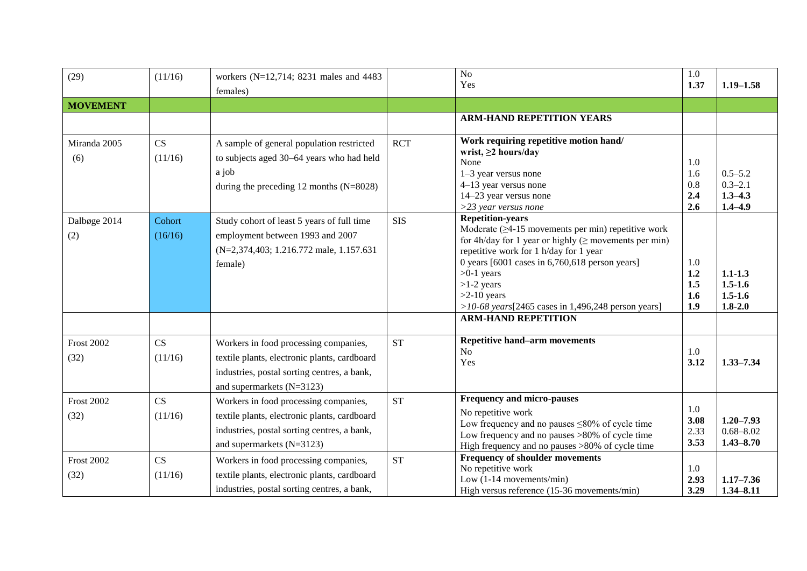| (29)                      | (11/16)           | workers ( $N=12,714$ ; 8231 males and 4483<br>females)                                                                                                            |            | $\overline{No}$<br>Yes                                                                                                                                                                                                                                                                                                                                                                                                      | 1.0<br>1.37                     | $1.19 - 1.58$                                            |
|---------------------------|-------------------|-------------------------------------------------------------------------------------------------------------------------------------------------------------------|------------|-----------------------------------------------------------------------------------------------------------------------------------------------------------------------------------------------------------------------------------------------------------------------------------------------------------------------------------------------------------------------------------------------------------------------------|---------------------------------|----------------------------------------------------------|
| <b>MOVEMENT</b>           |                   |                                                                                                                                                                   |            |                                                                                                                                                                                                                                                                                                                                                                                                                             |                                 |                                                          |
|                           |                   |                                                                                                                                                                   |            | <b>ARM-HAND REPETITION YEARS</b>                                                                                                                                                                                                                                                                                                                                                                                            |                                 |                                                          |
| Miranda 2005<br>(6)       | CS<br>(11/16)     | A sample of general population restricted<br>to subjects aged 30–64 years who had held<br>a job<br>during the preceding $12$ months (N=8028)                      | <b>RCT</b> | Work requiring repetitive motion hand/<br>wrist, $\geq$ 2 hours/day<br>None<br>1-3 year versus none<br>4-13 year versus none<br>14-23 year versus none<br>$>$ 23 year versus none                                                                                                                                                                                                                                           | 1.0<br>1.6<br>0.8<br>2.4<br>2.6 | $0.5 - 5.2$<br>$0.3 - 2.1$<br>$1.3 - 4.3$<br>$1.4 - 4.9$ |
| Dalbøge 2014<br>(2)       | Cohort<br>(16/16) | Study cohort of least 5 years of full time<br>employment between 1993 and 2007<br>(N=2,374,403; 1.216.772 male, 1.157.631)<br>female)                             | <b>SIS</b> | <b>Repetition-years</b><br>Moderate $(\geq 4$ -15 movements per min) repetitive work<br>for 4h/day for 1 year or highly ( $\geq$ movements per min)<br>repetitive work for 1 h/day for 1 year<br>0 years $[6001 \text{ cases in } 6,760,618 \text{ person years}]$<br>$>0-1$ years<br>$>1-2$ years<br>$>2-10$ years<br>>10-68 years $[2465 \text{ cases in } 1,496,248 \text{ person years}]$<br><b>ARM-HAND REPETITION</b> | 1.0<br>1.2<br>1.5<br>1.6<br>1.9 | $1.1 - 1.3$<br>$1.5 - 1.6$<br>$1.5 - 1.6$<br>$1.8 - 2.0$ |
| <b>Frost 2002</b><br>(32) | CS<br>(11/16)     | Workers in food processing companies,<br>textile plants, electronic plants, cardboard<br>industries, postal sorting centres, a bank,<br>and supermarkets (N=3123) | <b>ST</b>  | <b>Repetitive hand-arm movements</b><br>N <sub>o</sub><br>Yes                                                                                                                                                                                                                                                                                                                                                               | 1.0<br>3.12                     | $1.33 - 7.34$                                            |
| <b>Frost 2002</b><br>(32) | CS<br>(11/16)     | Workers in food processing companies,<br>textile plants, electronic plants, cardboard<br>industries, postal sorting centres, a bank,<br>and supermarkets (N=3123) | <b>ST</b>  | <b>Frequency and micro-pauses</b><br>No repetitive work<br>Low frequency and no pauses $\leq 80\%$ of cycle time<br>Low frequency and no pauses >80% of cycle time<br>High frequency and no pauses >80% of cycle time                                                                                                                                                                                                       | 1.0<br>3.08<br>2.33<br>3.53     | $1.20 - 7.93$<br>$0.68 - 8.02$<br>$1.43 - 8.70$          |
| <b>Frost 2002</b><br>(32) | CS<br>(11/16)     | Workers in food processing companies,<br>textile plants, electronic plants, cardboard<br>industries, postal sorting centres, a bank,                              | <b>ST</b>  | <b>Frequency of shoulder movements</b><br>No repetitive work<br>Low (1-14 movements/min)<br>High versus reference (15-36 movements/min)                                                                                                                                                                                                                                                                                     | 1.0<br>2.93<br>3.29             | $1.17 - 7.36$<br>$1.34 - 8.11$                           |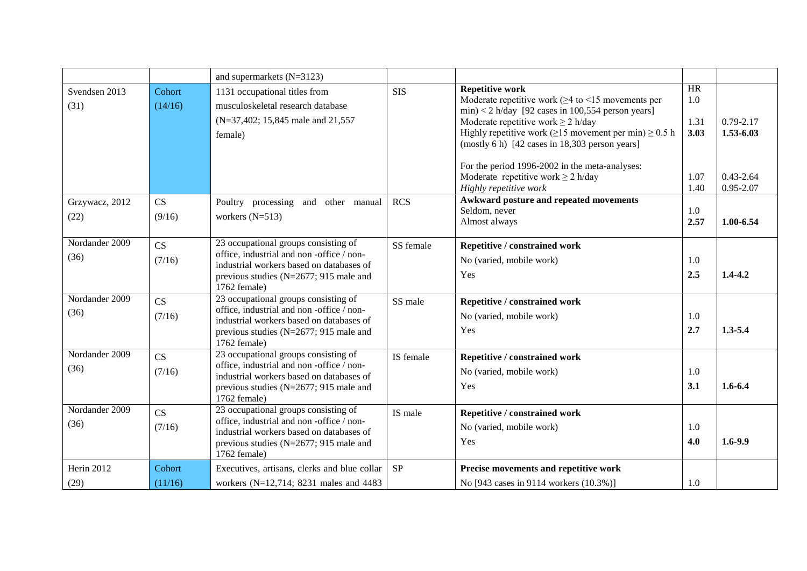|                        |                                  | and supermarkets $(N=3123)$                                                                                                                                                                |            |                                                                                                                                                                                                                                                                                                                                                                                                                                                      |                                           |                                                              |
|------------------------|----------------------------------|--------------------------------------------------------------------------------------------------------------------------------------------------------------------------------------------|------------|------------------------------------------------------------------------------------------------------------------------------------------------------------------------------------------------------------------------------------------------------------------------------------------------------------------------------------------------------------------------------------------------------------------------------------------------------|-------------------------------------------|--------------------------------------------------------------|
| Svendsen 2013<br>(31)  | Cohort<br>(14/16)                | 1131 occupational titles from<br>musculoskeletal research database<br>(N=37,402; 15,845 male and 21,557)<br>female)                                                                        | <b>SIS</b> | <b>Repetitive work</b><br>Moderate repetitive work ( $\geq$ 4 to <15 movements per<br>$min$ < 2 h/day [92 cases in 100,554 person years]<br>Moderate repetitive work $\geq 2$ h/day<br>Highly repetitive work ( $\geq$ 15 movement per min) $\geq$ 0.5 h<br>(mostly 6 h) $[42 \text{ cases in } 18,303 \text{ person years}]$<br>For the period 1996-2002 in the meta-analyses:<br>Moderate repetitive work $\geq 2$ h/day<br>Highly repetitive work | HR<br>1.0<br>1.31<br>3.03<br>1.07<br>1.40 | $0.79 - 2.17$<br>1.53-6.03<br>$0.43 - 2.64$<br>$0.95 - 2.07$ |
| Grzywacz, 2012<br>(22) | CS<br>(9/16)                     | Poultry processing and other manual<br>workers $(N=513)$                                                                                                                                   | <b>RCS</b> | <b>Awkward posture and repeated movements</b><br>Seldom, never<br>Almost always                                                                                                                                                                                                                                                                                                                                                                      | 1.0<br>2.57                               | 1.00-6.54                                                    |
| Nordander 2009<br>(36) | $\overline{\text{CS}}$<br>(7/16) | 23 occupational groups consisting of<br>office, industrial and non-office / non-<br>industrial workers based on databases of<br>previous studies (N=2677; 915 male and<br>1762 female)     | SS female  | Repetitive / constrained work<br>No (varied, mobile work)<br>Yes                                                                                                                                                                                                                                                                                                                                                                                     | 1.0<br>2.5                                | $1.4 - 4.2$                                                  |
| Nordander 2009<br>(36) | CS<br>(7/16)                     | 23 occupational groups consisting of<br>office, industrial and non-office / non-<br>industrial workers based on databases of<br>previous studies ( $N=2677$ ; 915 male and<br>1762 female) | SS male    | Repetitive / constrained work<br>No (varied, mobile work)<br>Yes                                                                                                                                                                                                                                                                                                                                                                                     | 1.0<br>2.7                                | $1.3 - 5.4$                                                  |
| Nordander 2009<br>(36) | CS<br>(7/16)                     | 23 occupational groups consisting of<br>office, industrial and non-office / non-<br>industrial workers based on databases of<br>previous studies (N=2677; 915 male and<br>1762 female)     | IS female  | Repetitive / constrained work<br>No (varied, mobile work)<br>Yes                                                                                                                                                                                                                                                                                                                                                                                     | 1.0<br>3.1                                | $1.6 - 6.4$                                                  |
| Nordander 2009<br>(36) | CS<br>(7/16)                     | 23 occupational groups consisting of<br>office, industrial and non-office / non-<br>industrial workers based on databases of<br>previous studies (N=2677; 915 male and<br>1762 female)     | IS male    | Repetitive / constrained work<br>No (varied, mobile work)<br>Yes                                                                                                                                                                                                                                                                                                                                                                                     | 1.0<br>4.0                                | $1.6 - 9.9$                                                  |
| Herin 2012<br>(29)     | Cohort<br>(11/16)                | Executives, artisans, clerks and blue collar<br>workers (N=12,714; 8231 males and 4483                                                                                                     | <b>SP</b>  | Precise movements and repetitive work<br>No [943 cases in 9114 workers (10.3%)]                                                                                                                                                                                                                                                                                                                                                                      | 1.0                                       |                                                              |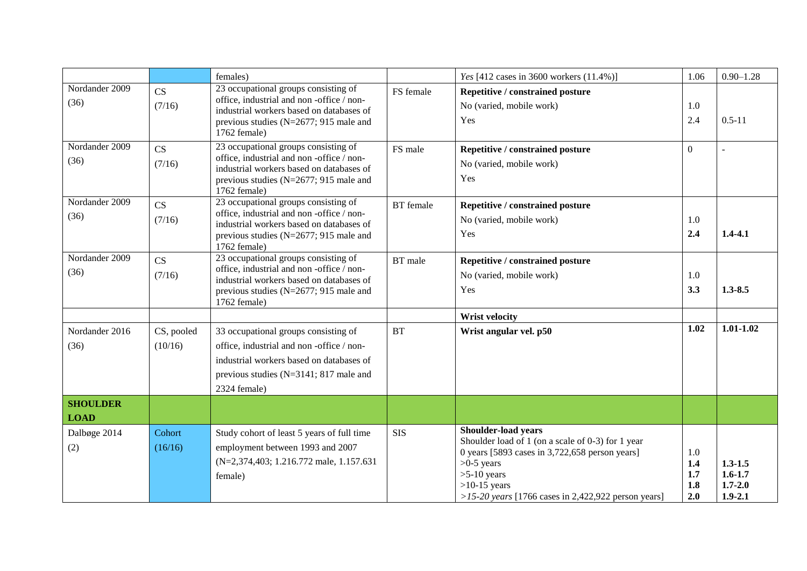|                        |                       | females)                                                                                                                                                                                   |                  | Yes [412 cases in 3600 workers (11.4%)]                                                                                                                                                                                                       | 1.06                            | $0.90 - 1.28$                                            |
|------------------------|-----------------------|--------------------------------------------------------------------------------------------------------------------------------------------------------------------------------------------|------------------|-----------------------------------------------------------------------------------------------------------------------------------------------------------------------------------------------------------------------------------------------|---------------------------------|----------------------------------------------------------|
| Nordander 2009<br>(36) | CS<br>(7/16)          | 23 occupational groups consisting of<br>office, industrial and non-office / non-<br>industrial workers based on databases of<br>previous studies (N=2677; 915 male and<br>1762 female)     | FS female        | Repetitive / constrained posture<br>No (varied, mobile work)<br>Yes                                                                                                                                                                           | 1.0<br>2.4                      | $0.5 - 11$                                               |
| Nordander 2009<br>(36) | CS<br>(7/16)          | 23 occupational groups consisting of<br>office, industrial and non-office / non-<br>industrial workers based on databases of<br>previous studies (N=2677; 915 male and<br>1762 female)     | FS male          | Repetitive / constrained posture<br>No (varied, mobile work)<br>Yes                                                                                                                                                                           | $\overline{0}$                  |                                                          |
| Nordander 2009<br>(36) | CS<br>(7/16)          | 23 occupational groups consisting of<br>office, industrial and non-office / non-<br>industrial workers based on databases of<br>previous studies ( $N=2677$ ; 915 male and<br>1762 female) | <b>BT</b> female | Repetitive / constrained posture<br>No (varied, mobile work)<br>Yes                                                                                                                                                                           | 1.0<br>2.4                      | $1.4 - 4.1$                                              |
| Nordander 2009<br>(36) | CS<br>(7/16)          | 23 occupational groups consisting of<br>office, industrial and non-office / non-<br>industrial workers based on databases of<br>previous studies ( $N=2677$ ; 915 male and<br>1762 female) | BT male          | Repetitive / constrained posture<br>No (varied, mobile work)<br>Yes                                                                                                                                                                           | 1.0<br>3.3                      | $1.3 - 8.5$                                              |
|                        |                       |                                                                                                                                                                                            |                  | <b>Wrist velocity</b>                                                                                                                                                                                                                         |                                 |                                                          |
| Nordander 2016<br>(36) | CS, pooled<br>(10/16) | 33 occupational groups consisting of<br>office, industrial and non-office / non-<br>industrial workers based on databases of<br>previous studies (N=3141; 817 male and<br>2324 female)     | <b>BT</b>        | Wrist angular vel. p50                                                                                                                                                                                                                        | 1.02                            | $1.01 - 1.02$                                            |
| <b>SHOULDER</b>        |                       |                                                                                                                                                                                            |                  |                                                                                                                                                                                                                                               |                                 |                                                          |
| <b>LOAD</b>            |                       |                                                                                                                                                                                            |                  |                                                                                                                                                                                                                                               |                                 |                                                          |
| Dalbøge 2014<br>(2)    | Cohort<br>(16/16)     | Study cohort of least 5 years of full time<br>employment between 1993 and 2007<br>(N=2,374,403; 1.216.772 male, 1.157.631)<br>female)                                                      | <b>SIS</b>       | <b>Shoulder-load years</b><br>Shoulder load of 1 (on a scale of 0-3) for 1 year<br>0 years [5893 cases in $3,722,658$ person years]<br>$>0-5$ years<br>$>5-10$ years<br>$>10-15$ years<br>>15-20 years [1766 cases in 2,422,922 person years] | 1.0<br>1.4<br>1.7<br>1.8<br>2.0 | $1.3 - 1.5$<br>$1.6 - 1.7$<br>$1.7 - 2.0$<br>$1.9 - 2.1$ |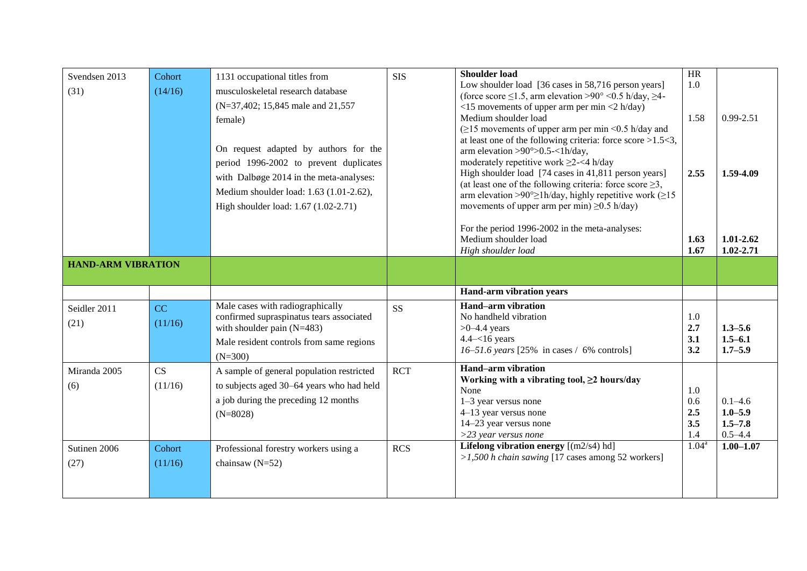| Svendsen 2013<br>(31)     | Cohort<br>(14/16) | 1131 occupational titles from<br>musculoskeletal research database<br>(N=37,402; 15,845 male and 21,557)<br>female)<br>On request adapted by authors for the<br>period 1996-2002 to prevent duplicates<br>with Dalbøge 2014 in the meta-analyses:<br>Medium shoulder load: 1.63 (1.01-2.62),<br>High shoulder load: 1.67 (1.02-2.71) | <b>SIS</b> | <b>Shoulder load</b><br>Low shoulder load [36 cases in 58,716 person years]<br>(force score $\leq$ 1.5, arm elevation >90° <0.5 h/day, $\geq$ 4-<br>$\langle$ 15 movements of upper arm per min $\langle$ 2 h/day)<br>Medium shoulder load<br>$(\geq 15$ movements of upper arm per min <0.5 h/day and<br>at least one of the following criteria: force score $>1.5<3$ ,<br>arm elevation >90 $^{\circ}$ >0.5-<1h/day,<br>moderately repetitive work $\geq$ 2-<4 h/day<br>High shoulder load [74 cases in 41,811 person years]<br>(at least one of the following criteria: force score $\geq 3$ ,<br>arm elevation >90 $^{\circ}$ > 1h/day, highly repetitive work ( $\geq$ 15<br>movements of upper arm per min) $\geq 0.5$ h/day) | HR<br>1.0<br>1.58<br>2.55       | $0.99 - 2.51$<br>1.59-4.09                               |
|---------------------------|-------------------|--------------------------------------------------------------------------------------------------------------------------------------------------------------------------------------------------------------------------------------------------------------------------------------------------------------------------------------|------------|-------------------------------------------------------------------------------------------------------------------------------------------------------------------------------------------------------------------------------------------------------------------------------------------------------------------------------------------------------------------------------------------------------------------------------------------------------------------------------------------------------------------------------------------------------------------------------------------------------------------------------------------------------------------------------------------------------------------------------------|---------------------------------|----------------------------------------------------------|
|                           |                   |                                                                                                                                                                                                                                                                                                                                      |            | For the period 1996-2002 in the meta-analyses:<br>Medium shoulder load<br>High shoulder load                                                                                                                                                                                                                                                                                                                                                                                                                                                                                                                                                                                                                                        | 1.63<br>1.67                    | $1.01 - 2.62$<br>$1.02 - 2.71$                           |
| <b>HAND-ARM VIBRATION</b> |                   |                                                                                                                                                                                                                                                                                                                                      |            |                                                                                                                                                                                                                                                                                                                                                                                                                                                                                                                                                                                                                                                                                                                                     |                                 |                                                          |
|                           |                   |                                                                                                                                                                                                                                                                                                                                      |            |                                                                                                                                                                                                                                                                                                                                                                                                                                                                                                                                                                                                                                                                                                                                     |                                 |                                                          |
|                           |                   |                                                                                                                                                                                                                                                                                                                                      |            | <b>Hand-arm vibration years</b>                                                                                                                                                                                                                                                                                                                                                                                                                                                                                                                                                                                                                                                                                                     |                                 |                                                          |
| Seidler 2011<br>(21)      | CC<br>(11/16)     | Male cases with radiographically<br>confirmed supraspinatus tears associated<br>with shoulder pain (N=483)<br>Male resident controls from same regions<br>$(N=300)$                                                                                                                                                                  | <b>SS</b>  | <b>Hand-arm vibration</b><br>No handheld vibration<br>$>0-4.4$ years<br>$4.4 - 16$ years<br>16–51.6 years [25% in cases $/$ 6% controls]                                                                                                                                                                                                                                                                                                                                                                                                                                                                                                                                                                                            | 1.0<br>2.7<br>3.1<br>3.2        | $1.3 - 5.6$<br>$1.5 - 6.1$<br>$1.7 - 5.9$                |
| Miranda 2005<br>(6)       | CS<br>(11/16)     | A sample of general population restricted<br>to subjects aged 30-64 years who had held<br>a job during the preceding 12 months<br>$(N=8028)$                                                                                                                                                                                         | <b>RCT</b> | <b>Hand-arm vibration</b><br>Working with a vibrating tool, $\geq 2$ hours/day<br>None<br>$1-3$ year versus none<br>4-13 year versus none<br>14-23 year versus none<br>$>$ 23 year versus none                                                                                                                                                                                                                                                                                                                                                                                                                                                                                                                                      | 1.0<br>0.6<br>2.5<br>3.5<br>1.4 | $0.1 - 4.6$<br>$1.0 - 5.9$<br>$1.5 - 7.8$<br>$0.5 - 4.4$ |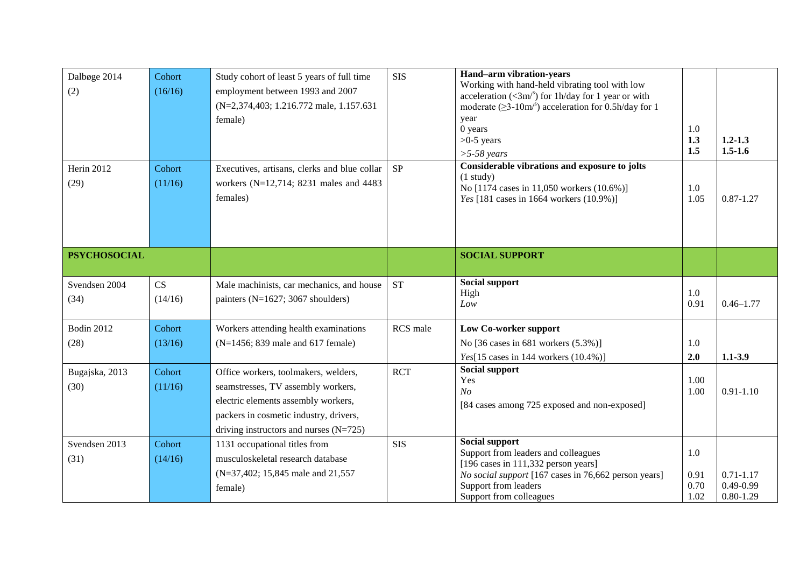| Dalbøge 2014<br>(2)       | Cohort<br>(16/16) | Study cohort of least 5 years of full time<br>employment between 1993 and 2007<br>(N=2,374,403; 1.216.772 male, 1.157.631)<br>female)                                                                   | <b>SIS</b> | Hand-arm vibration-years<br>Working with hand-held vibrating tool with low<br>acceleration ( $\langle 3m \rangle^s$ ) for 1h/day for 1 year or with<br>moderate $(\geq 3-10m)^s$ acceleration for 0.5h/day for 1<br>year<br>0 years<br>$>0-5$ years<br>$>5-58$ years | 1.0<br>1.3<br>1.5           | $1.2 - 1.3$<br>$1.5 - 1.6$                      |
|---------------------------|-------------------|---------------------------------------------------------------------------------------------------------------------------------------------------------------------------------------------------------|------------|----------------------------------------------------------------------------------------------------------------------------------------------------------------------------------------------------------------------------------------------------------------------|-----------------------------|-------------------------------------------------|
| Herin 2012<br>(29)        | Cohort<br>(11/16) | Executives, artisans, clerks and blue collar<br>workers (N=12,714; 8231 males and 4483<br>females)                                                                                                      | <b>SP</b>  | Considerable vibrations and exposure to jolts<br>$(1$ study)<br>No [1174 cases in 11,050 workers (10.6%)]<br>Yes [181 cases in 1664 workers (10.9%)]                                                                                                                 | 1.0<br>1.05                 | $0.87 - 1.27$                                   |
| <b>PSYCHOSOCIAL</b>       |                   |                                                                                                                                                                                                         |            | <b>SOCIAL SUPPORT</b>                                                                                                                                                                                                                                                |                             |                                                 |
| Svendsen 2004<br>(34)     | CS<br>(14/16)     | Male machinists, car mechanics, and house<br>painters (N=1627; 3067 shoulders)                                                                                                                          | <b>ST</b>  | Social support<br>High<br>Low                                                                                                                                                                                                                                        | 1.0<br>0.91                 | $0.46 - 1.77$                                   |
| <b>Bodin 2012</b><br>(28) | Cohort<br>(13/16) | Workers attending health examinations<br>(N=1456; 839 male and 617 female)                                                                                                                              | RCS male   | <b>Low Co-worker support</b><br>No [36 cases in 681 workers (5.3%)]<br>Yes[15 cases in 144 workers $(10.4\%)$ ]                                                                                                                                                      | 1.0<br>2.0                  | $1.1 - 3.9$                                     |
| Bugajska, 2013<br>(30)    | Cohort<br>(11/16) | Office workers, toolmakers, welders,<br>seamstresses, TV assembly workers,<br>electric elements assembly workers,<br>packers in cosmetic industry, drivers,<br>driving instructors and nurses $(N=725)$ | <b>RCT</b> | Social support<br>Yes<br>N <sub>O</sub><br>[84 cases among 725 exposed and non-exposed]                                                                                                                                                                              | 1.00<br>1.00                | $0.91 - 1.10$                                   |
| Svendsen 2013<br>(31)     | Cohort<br>(14/16) | 1131 occupational titles from<br>musculoskeletal research database<br>(N=37,402; 15,845 male and 21,557)<br>female)                                                                                     | <b>SIS</b> | Social support<br>Support from leaders and colleagues<br>$[196 \text{ cases in } 111,332 \text{ person years}]$<br>No social support [167 cases in 76,662 person years]<br>Support from leaders<br>Support from colleagues                                           | 1.0<br>0.91<br>0.70<br>1.02 | $0.71 - 1.17$<br>$0.49 - 0.99$<br>$0.80 - 1.29$ |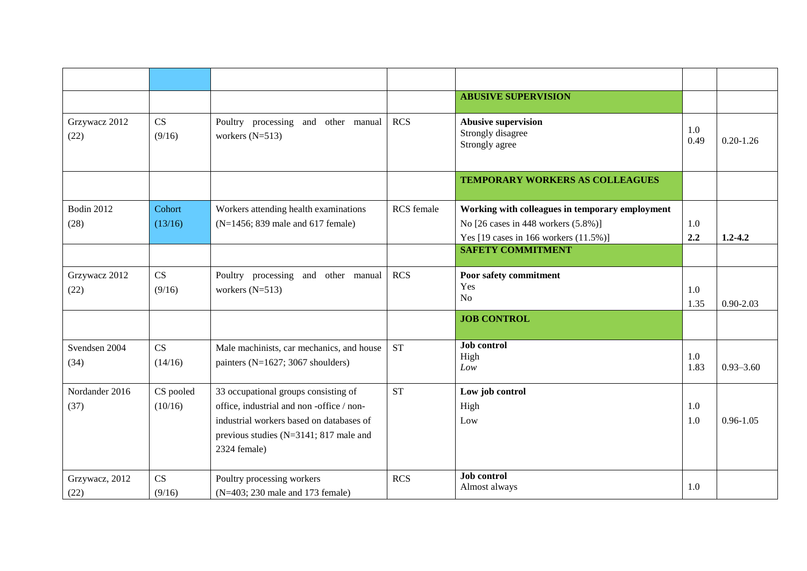|                       |               |                                                                                |                   | <b>ABUSIVE SUPERVISION</b>                                        |             |               |
|-----------------------|---------------|--------------------------------------------------------------------------------|-------------------|-------------------------------------------------------------------|-------------|---------------|
| Grzywacz 2012<br>(22) | CS<br>(9/16)  | Poultry processing and other manual<br>workers $(N=513)$                       | <b>RCS</b>        | <b>Abusive supervision</b><br>Strongly disagree<br>Strongly agree | 1.0<br>0.49 | $0.20 - 1.26$ |
|                       |               |                                                                                |                   | TEMPORARY WORKERS AS COLLEAGUES                                   |             |               |
| <b>Bodin 2012</b>     | Cohort        | Workers attending health examinations                                          | <b>RCS</b> female | Working with colleagues in temporary employment                   |             |               |
| (28)                  | (13/16)       | (N=1456; 839 male and 617 female)                                              |                   | No [26 cases in 448 workers (5.8%)]                               | 1.0         |               |
|                       |               |                                                                                |                   | Yes [19 cases in 166 workers (11.5%)]                             | 2.2         | $1.2 - 4.2$   |
|                       |               |                                                                                |                   | <b>SAFETY COMMITMENT</b>                                          |             |               |
| Grzywacz 2012         | CS            | Poultry processing and other manual                                            | <b>RCS</b>        | Poor safety commitment                                            |             |               |
| (22)                  | (9/16)        | workers $(N=513)$                                                              |                   | Yes                                                               | 1.0         |               |
|                       |               |                                                                                |                   | No                                                                | 1.35        | $0.90 - 2.03$ |
|                       |               |                                                                                |                   | <b>JOB CONTROL</b>                                                |             |               |
| Svendsen 2004<br>(34) | CS<br>(14/16) | Male machinists, car mechanics, and house<br>painters (N=1627; 3067 shoulders) | <b>ST</b>         | <b>Job</b> control<br>High<br>Low                                 | 1.0<br>1.83 | $0.93 - 3.60$ |
| Nordander 2016        | CS pooled     | 33 occupational groups consisting of                                           | <b>ST</b>         | Low job control                                                   |             |               |
| (37)                  | (10/16)       | office, industrial and non-office / non-                                       |                   | High                                                              | 1.0         |               |
|                       |               | industrial workers based on databases of                                       |                   | Low                                                               | 1.0         | $0.96 - 1.05$ |
|                       |               | previous studies (N=3141; 817 male and                                         |                   |                                                                   |             |               |
|                       |               | 2324 female)                                                                   |                   |                                                                   |             |               |
| Grzywacz, 2012        | <b>CS</b>     | Poultry processing workers                                                     | <b>RCS</b>        | Job control<br>Almost always                                      | 1.0         |               |
| (22)                  | (9/16)        | (N=403; 230 male and 173 female)                                               |                   |                                                                   |             |               |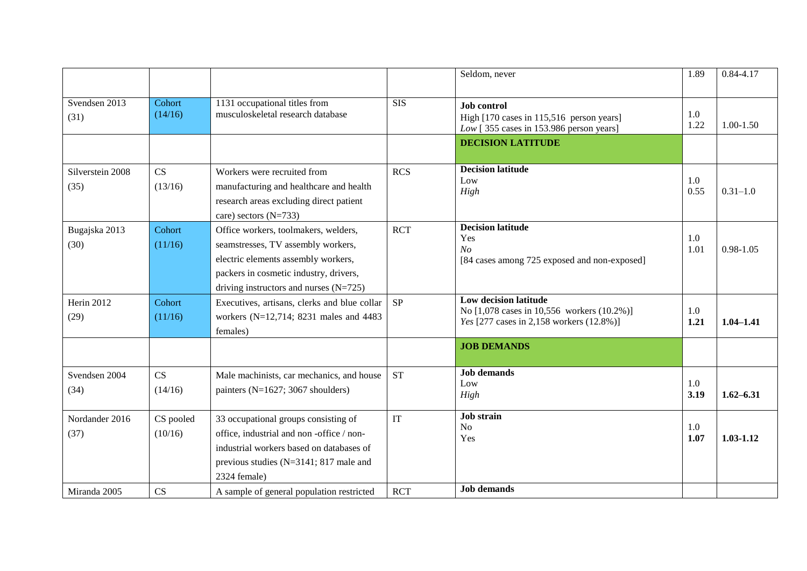|                          |                      |                                                                                                                                                                                                         |            | Seldom, never                                                                                                                         | 1.89        | $0.84 - 4.17$ |
|--------------------------|----------------------|---------------------------------------------------------------------------------------------------------------------------------------------------------------------------------------------------------|------------|---------------------------------------------------------------------------------------------------------------------------------------|-------------|---------------|
| Svendsen 2013<br>(31)    | Cohort<br>(14/16)    | 1131 occupational titles from<br>musculoskeletal research database                                                                                                                                      | <b>SIS</b> | <b>Job</b> control<br>High [170 cases in 115,516 person years]<br>Low [355 cases in 153.986 person years]<br><b>DECISION LATITUDE</b> | 1.0<br>1.22 | $1.00 - 1.50$ |
| Silverstein 2008<br>(35) | CS<br>(13/16)        | Workers were recruited from<br>manufacturing and healthcare and health<br>research areas excluding direct patient<br>care) sectors $(N=733)$                                                            | <b>RCS</b> | <b>Decision latitude</b><br>Low<br>High                                                                                               | 1.0<br>0.55 | $0.31 - 1.0$  |
| Bugajska 2013<br>(30)    | Cohort<br>(11/16)    | Office workers, toolmakers, welders,<br>seamstresses, TV assembly workers,<br>electric elements assembly workers,<br>packers in cosmetic industry, drivers,<br>driving instructors and nurses $(N=725)$ | <b>RCT</b> | <b>Decision latitude</b><br>Yes<br>N <sub>O</sub><br>[84 cases among 725 exposed and non-exposed]                                     | 1.0<br>1.01 | $0.98 - 1.05$ |
| Herin 2012<br>(29)       | Cohort<br>(11/16)    | Executives, artisans, clerks and blue collar<br>workers (N=12,714; 8231 males and 4483<br>females)                                                                                                      | <b>SP</b>  | Low decision latitude<br>No [1,078 cases in 10,556 workers (10.2%)]<br>Yes [277 cases in 2,158 workers (12.8%)]                       | 1.0<br>1.21 | $1.04 - 1.41$ |
|                          |                      |                                                                                                                                                                                                         |            | <b>JOB DEMANDS</b>                                                                                                                    |             |               |
| Svendsen 2004<br>(34)    | CS<br>(14/16)        | Male machinists, car mechanics, and house<br>painters ( $N=1627$ ; 3067 shoulders)                                                                                                                      | <b>ST</b>  | <b>Job demands</b><br>Low<br>High                                                                                                     | 1.0<br>3.19 | $1.62 - 6.31$ |
| Nordander 2016<br>(37)   | CS pooled<br>(10/16) | 33 occupational groups consisting of<br>office, industrial and non-office / non-<br>industrial workers based on databases of<br>previous studies ( $N=3141$ ; 817 male and<br>2324 female)              | IT         | <b>Job</b> strain<br><b>No</b><br>Yes                                                                                                 | 1.0<br>1.07 | $1.03 - 1.12$ |
| Miranda 2005             | CS                   | A sample of general population restricted                                                                                                                                                               | <b>RCT</b> | <b>Job demands</b>                                                                                                                    |             |               |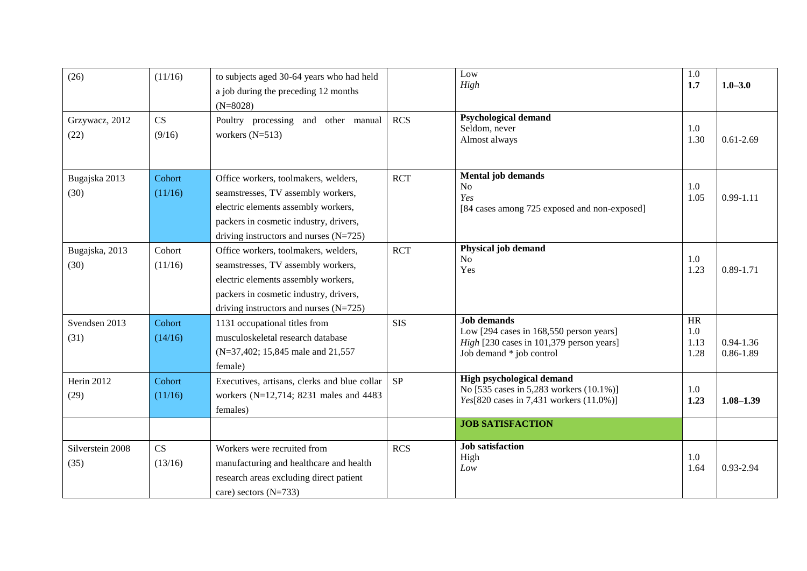| (26)                     | (11/16)           | to subjects aged 30-64 years who had held<br>a job during the preceding 12 months<br>$(N=8028)$                                                                                                         |            | Low<br>High                                                                                                                           | 1.0<br>1.7                       | $1.0 - 3.0$                    |
|--------------------------|-------------------|---------------------------------------------------------------------------------------------------------------------------------------------------------------------------------------------------------|------------|---------------------------------------------------------------------------------------------------------------------------------------|----------------------------------|--------------------------------|
| Grzywacz, 2012<br>(22)   | CS<br>(9/16)      | Poultry processing and other manual<br>workers $(N=513)$                                                                                                                                                | <b>RCS</b> | <b>Psychological demand</b><br>Seldom, never<br>Almost always                                                                         | 1.0<br>1.30                      | $0.61 - 2.69$                  |
| Bugajska 2013<br>(30)    | Cohort<br>(11/16) | Office workers, toolmakers, welders,<br>seamstresses, TV assembly workers,<br>electric elements assembly workers,<br>packers in cosmetic industry, drivers,<br>driving instructors and nurses $(N=725)$ | <b>RCT</b> | <b>Mental job demands</b><br>N <sub>o</sub><br>Yes<br>[84 cases among 725 exposed and non-exposed]                                    | 1.0<br>1.05                      | $0.99 - 1.11$                  |
| Bugajska, 2013<br>(30)   | Cohort<br>(11/16) | Office workers, toolmakers, welders,<br>seamstresses, TV assembly workers,<br>electric elements assembly workers,<br>packers in cosmetic industry, drivers,<br>driving instructors and nurses $(N=725)$ | <b>RCT</b> | Physical job demand<br>No.<br>Yes                                                                                                     | 1.0<br>1.23                      | $0.89 - 1.71$                  |
| Svendsen 2013<br>(31)    | Cohort<br>(14/16) | 1131 occupational titles from<br>musculoskeletal research database<br>(N=37,402; 15,845 male and 21,557)<br>female)                                                                                     | <b>SIS</b> | <b>Job demands</b><br>Low [294 cases in 168,550 person years]<br>High [230 cases in 101,379 person years]<br>Job demand * job control | <b>HR</b><br>1.0<br>1.13<br>1.28 | $0.94 - 1.36$<br>$0.86 - 1.89$ |
| Herin 2012<br>(29)       | Cohort<br>(11/16) | Executives, artisans, clerks and blue collar<br>workers (N=12,714; 8231 males and 4483<br>females)                                                                                                      | <b>SP</b>  | High psychological demand<br>No [535 cases in 5,283 workers (10.1%)]<br>Yes[820 cases in 7,431 workers (11.0%)]                       | 1.0<br>1.23                      | $1.08 - 1.39$                  |
|                          |                   |                                                                                                                                                                                                         |            | <b>JOB SATISFACTION</b>                                                                                                               |                                  |                                |
| Silverstein 2008<br>(35) | CS<br>(13/16)     | Workers were recruited from<br>manufacturing and healthcare and health<br>research areas excluding direct patient<br>care) sectors $(N=733)$                                                            | <b>RCS</b> | <b>Job</b> satisfaction<br>High<br>Low                                                                                                | 1.0<br>1.64                      | 0.93-2.94                      |